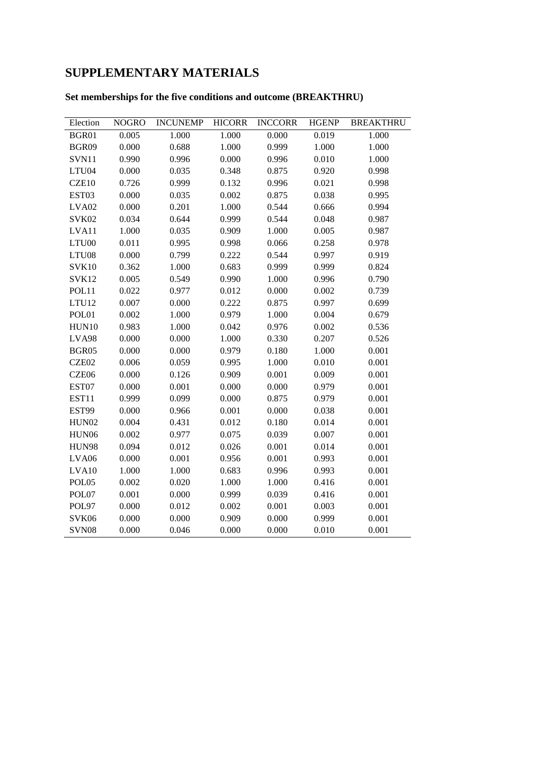## **SUPPLEMENTARY MATERIALS**

### **Set memberships for the five conditions and outcome (BREAKTHRU)**

| Election          | <b>NOGRO</b> | <b>INCUNEMP</b> | <b>HICORR</b> | <b>INCCORR</b> | <b>HGENP</b> | <b>BREAKTHRU</b> |
|-------------------|--------------|-----------------|---------------|----------------|--------------|------------------|
| BGR01             | 0.005        | 1.000           | 1.000         | 0.000          | 0.019        | 1.000            |
| BGR09             | 0.000        | 0.688           | 1.000         | 0.999          | 1.000        | 1.000            |
| SVN11             | 0.990        | 0.996           | 0.000         | 0.996          | 0.010        | 1.000            |
| LTU04             | 0.000        | 0.035           | 0.348         | 0.875          | 0.920        | 0.998            |
| CZE10             | 0.726        | 0.999           | 0.132         | 0.996          | 0.021        | 0.998            |
| EST03             | 0.000        | 0.035           | 0.002         | 0.875          | 0.038        | 0.995            |
| LVA <sub>02</sub> | 0.000        | 0.201           | 1.000         | 0.544          | 0.666        | 0.994            |
| SVK02             | 0.034        | 0.644           | 0.999         | 0.544          | 0.048        | 0.987            |
| LVA11             | 1.000        | 0.035           | 0.909         | 1.000          | 0.005        | 0.987            |
| LTU00             | 0.011        | 0.995           | 0.998         | 0.066          | 0.258        | 0.978            |
| LTU08             | 0.000        | 0.799           | 0.222         | 0.544          | 0.997        | 0.919            |
| <b>SVK10</b>      | 0.362        | 1.000           | 0.683         | 0.999          | 0.999        | 0.824            |
| SVK12             | 0.005        | 0.549           | 0.990         | 1.000          | 0.996        | 0.790            |
| POL11             | 0.022        | 0.977           | 0.012         | 0.000          | 0.002        | 0.739            |
| LTU12             | 0.007        | 0.000           | 0.222         | 0.875          | 0.997        | 0.699            |
| POL01             | 0.002        | 1.000           | 0.979         | 1.000          | 0.004        | 0.679            |
| HUN10             | 0.983        | 1.000           | 0.042         | 0.976          | 0.002        | 0.536            |
| LVA98             | 0.000        | 0.000           | 1.000         | 0.330          | 0.207        | 0.526            |
| BGR05             | 0.000        | 0.000           | 0.979         | 0.180          | 1.000        | 0.001            |
| CZE02             | 0.006        | 0.059           | 0.995         | 1.000          | 0.010        | 0.001            |
| CZE06             | 0.000        | 0.126           | 0.909         | 0.001          | 0.009        | 0.001            |
| EST07             | 0.000        | 0.001           | 0.000         | 0.000          | 0.979        | 0.001            |
| EST11             | 0.999        | 0.099           | 0.000         | 0.875          | 0.979        | 0.001            |
| EST99             | 0.000        | 0.966           | 0.001         | 0.000          | 0.038        | 0.001            |
| HUN02             | 0.004        | 0.431           | 0.012         | 0.180          | 0.014        | 0.001            |
| HUN06             | 0.002        | 0.977           | 0.075         | 0.039          | 0.007        | 0.001            |
| <b>HUN98</b>      | 0.094        | 0.012           | 0.026         | 0.001          | 0.014        | 0.001            |
| LVA06             | 0.000        | 0.001           | 0.956         | 0.001          | 0.993        | 0.001            |
| LVA10             | 1.000        | 1.000           | 0.683         | 0.996          | 0.993        | 0.001            |
| POL05             | 0.002        | 0.020           | 1.000         | 1.000          | 0.416        | 0.001            |
| POL07             | 0.001        | 0.000           | 0.999         | 0.039          | 0.416        | 0.001            |
| POL97             | 0.000        | 0.012           | 0.002         | 0.001          | 0.003        | 0.001            |
| SVK06             | 0.000        | 0.000           | 0.909         | 0.000          | 0.999        | 0.001            |
| SVN08             | 0.000        | 0.046           | 0.000         | 0.000          | 0.010        | 0.001            |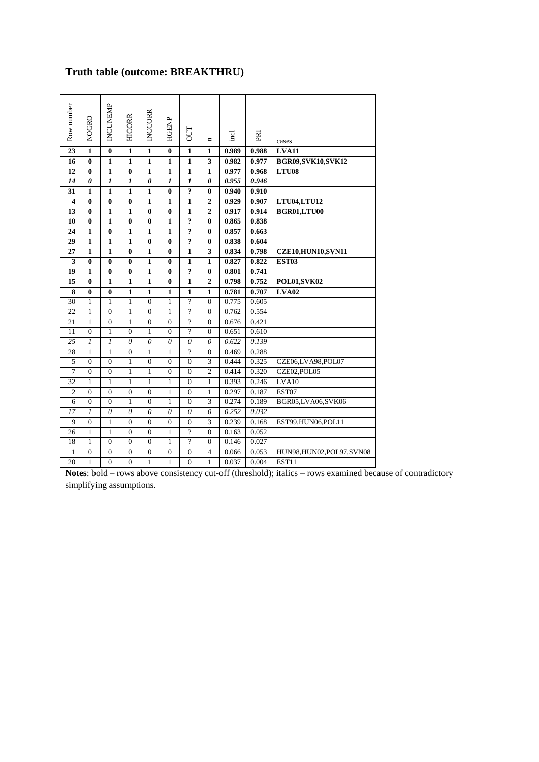### **Truth table (outcome: BREAKTHRU)**

| Row number              | <b>NOGRO</b>            | INCUNEMP         | <b>HICORR</b>           | <b>INCCORR</b>        | <b>HGENP</b>             | <b>DUT</b>              | $\blacksquare$        | $\overline{\text{end}}$ | PRI   | cases                      |
|-------------------------|-------------------------|------------------|-------------------------|-----------------------|--------------------------|-------------------------|-----------------------|-------------------------|-------|----------------------------|
| 23                      | $\mathbf{1}$            | $\bf{0}$         | $\overline{\mathbf{1}}$ | $\mathbf{1}$          | $\bf{0}$                 | $\mathbf{1}$            | $\mathbf{1}$          | 0.989                   | 0.988 | <b>LVA11</b>               |
| 16                      | $\bf{0}$                | $\mathbf{1}$     | $\mathbf{1}$            | $\mathbf{1}$          | $\mathbf{1}$             | $\mathbf{1}$            | 3                     | 0.982                   | 0.977 | <b>BGR09,SVK10,SVK12</b>   |
| $\overline{12}$         | $\overline{\mathbf{0}}$ | $\mathbf{1}$     | $\overline{\mathbf{0}}$ | $\mathbf{1}$          | $\mathbf{1}$             | $\mathbf{1}$            | $\mathbf{1}$          | 0.977                   | 0.968 | LTU08                      |
| 14                      | $\boldsymbol{\theta}$   | $\boldsymbol{l}$ | $\boldsymbol{l}$        | $\boldsymbol{\theta}$ | $\boldsymbol{l}$         | $\boldsymbol{l}$        | $\boldsymbol{\theta}$ | 0.955                   | 0.946 |                            |
| 31                      | $\mathbf{1}$            | $\mathbf{1}$     | $\mathbf{1}$            | $\mathbf{1}$          | $\bf{0}$                 | $\overline{?}$          | $\bf{0}$              | 0.940                   | 0.910 |                            |
| $\overline{\mathbf{4}}$ | $\bf{0}$                | $\bf{0}$         | $\bf{0}$                | $\mathbf{1}$          | 1                        | $\mathbf{1}$            | $\overline{2}$        | 0.929                   | 0.907 | LTU04,LTU12                |
| 13                      | $\bf{0}$                | $\mathbf{1}$     | $\mathbf{1}$            | $\bf{0}$              | $\bf{0}$                 | $\mathbf{1}$            | $\overline{2}$        | 0.917                   | 0.914 | BGR01,LTU00                |
| 10                      | $\bf{0}$                | $\mathbf{1}$     | $\bf{0}$                | $\bf{0}$              | $\mathbf{1}$             | $\ddot{ }$              | $\bf{0}$              | 0.865                   | 0.838 |                            |
| 24                      | $\mathbf{1}$            | $\bf{0}$         | $\mathbf{1}$            | $\mathbf{1}$          | $\mathbf{1}$             | $\overline{\mathbf{r}}$ | $\bf{0}$              | 0.857                   | 0.663 |                            |
| 29                      | $\mathbf{1}$            | $\mathbf{1}$     | $\mathbf{1}$            | $\bf{0}$              | $\bf{0}$                 | $\overline{?}$          | 0                     | 0.838                   | 0.604 |                            |
| 27                      | $\mathbf{1}$            | $\mathbf{1}$     | $\bf{0}$                | $\mathbf{1}$          | 0                        | $\mathbf{1}$            | 3                     | 0.834                   | 0.798 | <b>CZE10,HUN10,SVN11</b>   |
| 3                       | $\bf{0}$                | $\bf{0}$         | 0                       | 1                     | $\bf{0}$                 | $\mathbf{1}$            | $\mathbf{1}$          | 0.827                   | 0.822 | <b>EST03</b>               |
| 19                      | $\mathbf{1}$            | $\bf{0}$         | $\bf{0}$                | $\mathbf{1}$          | $\bf{0}$                 | $\overline{\mathbf{r}}$ | $\bf{0}$              | 0.801                   | 0.741 |                            |
| 15                      | 0                       | 1                | 1                       | 1                     | 0                        | 1                       | $\overline{2}$        | 0.798                   | 0.752 | POL01,SVK02                |
| 8                       | $\bf{0}$                | $\bf{0}$         | $\mathbf{1}$            | $\mathbf{1}$          | 1                        | $\mathbf{1}$            | $\mathbf{1}$          | 0.781                   | 0.707 | LVA02                      |
| 30                      | $\mathbf{1}$            | 1                | $\mathbf{1}$            | $\theta$              | 1                        | $\overline{2}$          | $\theta$              | 0.775                   | 0.605 |                            |
| 22                      | $\mathbf{1}$            | $\overline{0}$   | $\mathbf{1}$            | $\overline{0}$        | 1                        | $\gamma$                | $\Omega$              | 0.762                   | 0.554 |                            |
| 21                      | $\mathbf{1}$            | $\theta$         | $\mathbf{1}$            | $\theta$              | $\theta$                 | 9                       | $\theta$              | 0.676                   | 0.421 |                            |
| 11                      | $\overline{0}$          | $\mathbf{1}$     | $\overline{0}$          | $\mathbf{1}$          | $\overline{0}$           | $\gamma$                | $\overline{0}$        | 0.651                   | 0.610 |                            |
| 25                      | $\boldsymbol{l}$        | 1                | $\theta$                | $\theta$              | $\overline{\mathcal{O}}$ | $\theta$                | $\theta$              | 0.622                   | 0.139 |                            |
| 28                      | 1                       | $\mathbf{1}$     | $\overline{0}$          | $\mathbf{1}$          | $\mathbf{1}$             | $\gamma$                | $\overline{0}$        | 0.469                   | 0.288 |                            |
| 5                       | $\theta$                | $\theta$         | $\mathbf{1}$            | $\Omega$              | $\overline{0}$           | $\overline{0}$          | 3                     | 0.444                   | 0.325 | CZE06,LVA98,POL07          |
| $\overline{7}$          | $\overline{0}$          | $\overline{0}$   | $\mathbf{1}$            | 1                     | $\overline{0}$           | $\overline{0}$          | $\overline{2}$        | 0.414                   | 0.320 | CZE02, POL05               |
| 32                      | $\mathbf{1}$            | $\mathbf{1}$     | $\mathbf{1}$            | $\mathbf{1}$          | $\mathbf{1}$             | $\mathbf{0}$            | $\mathbf{1}$          | 0.393                   | 0.246 | LVA10                      |
| $\overline{2}$          | $\overline{0}$          | $\overline{0}$   | $\overline{0}$          | $\overline{0}$        | $\mathbf{1}$             | $\overline{0}$          | 1                     | 0.297                   | 0.187 | EST07                      |
| 6                       | $\overline{0}$          | $\Omega$         | $\mathbf{1}$            | $\Omega$              | $\mathbf{1}$             | $\overline{0}$          | 3                     | 0.274                   | 0.189 | BGR05,LVA06,SVK06          |
| 17                      | $\boldsymbol{l}$        | 0                | $\theta$                | $\theta$              | $\theta$                 | $\theta$                | $\theta$              | 0.252                   | 0.032 |                            |
| 9                       | $\overline{0}$          | 1                | $\mathbf{0}$            | $\overline{0}$        | $\overline{0}$           | $\mathbf{0}$            | 3                     | 0.239                   | 0.168 | EST99,HUN06,POL11          |
| 26                      | $\mathbf{1}$            | $\mathbf{1}$     | $\overline{0}$          | $\Omega$              | $\mathbf{1}$             | $\gamma$                | $\overline{0}$        | 0.163                   | 0.052 |                            |
| 18                      | 1                       | $\Omega$         | $\overline{0}$          | $\Omega$              | 1                        | $\overline{?}$          | $\Omega$              | 0.146                   | 0.027 |                            |
| $\mathbf{1}$            | $\overline{0}$          | $\overline{0}$   | $\boldsymbol{0}$        | $\overline{0}$        | $\overline{0}$           | $\overline{0}$          | $\overline{4}$        | 0.066                   | 0.053 | HUN98, HUN02, POL97, SVN08 |
|                         |                         |                  |                         |                       |                          |                         |                       |                         |       |                            |

**Notes**: bold – rows above consistency cut-off (threshold); italics – rows examined because of contradictory simplifying assumptions.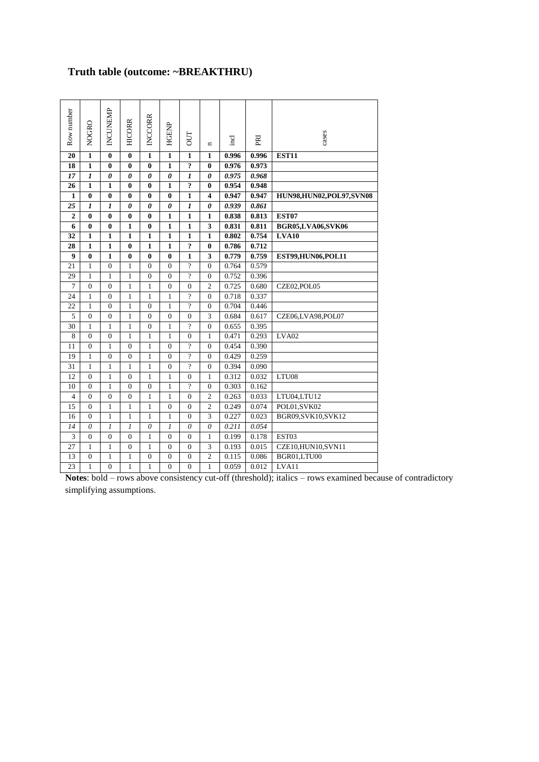# **Truth table (outcome: ~BREAKTHRU)**

| Row number              | <b>NOGRO</b>            | INCUNEMP                | <b>HICORR</b>         | <b>INCCORR</b>          | <b>HGENP</b>          | <b>DUT</b>       | $\blacksquare$          | incl  | PRI   | cases                   |  |
|-------------------------|-------------------------|-------------------------|-----------------------|-------------------------|-----------------------|------------------|-------------------------|-------|-------|-------------------------|--|
| 20                      | $\mathbf{1}$            | $\bf{0}$                | $\bf{0}$              | $\mathbf{1}$            | $\mathbf{1}$          | $\mathbf{1}$     | $\mathbf{1}$            | 0.996 | 0.996 | <b>EST11</b>            |  |
| 18                      | $\mathbf{1}$            | $\bf{0}$                | $\bf{0}$              | 0                       | $\mathbf{1}$          | $\ddot{ }$       | $\mathbf{0}$            | 0.976 | 0.973 |                         |  |
| 17                      | $\boldsymbol{l}$        | $\boldsymbol{\theta}$   | $\boldsymbol{\theta}$ | $\theta$                | $\boldsymbol{\theta}$ | $\boldsymbol{l}$ | 0                       | 0.975 | 0.968 |                         |  |
| 26                      | $\mathbf{1}$            | $\mathbf{1}$            | $\bf{0}$              | $\bf{0}$                | $\mathbf{1}$          | ?                | $\bf{0}$                | 0.954 | 0.948 |                         |  |
| $\mathbf{1}$            | $\overline{\mathbf{0}}$ | $\overline{\mathbf{0}}$ | $\bf{0}$              | $\overline{\mathbf{0}}$ | $\bf{0}$              | $\overline{1}$   | $\overline{\mathbf{4}}$ | 0.947 | 0.947 | HUN98,HUN02,POL97,SVN08 |  |
| 25                      | 1                       | $\boldsymbol{l}$        | $\boldsymbol{\theta}$ | 0                       | $\boldsymbol{\theta}$ | $\boldsymbol{l}$ | $\boldsymbol{\theta}$   | 0.939 | 0.861 |                         |  |
| $\overline{2}$          | $\bf{0}$                | $\bf{0}$                | $\bf{0}$              | $\bf{0}$                | $\mathbf{1}$          | $\mathbf{1}$     | $\mathbf{1}$            | 0.838 | 0.813 | EST07                   |  |
| 6                       | $\bf{0}$                | $\bf{0}$                | $\mathbf{1}$          | $\bf{0}$                | $\mathbf{1}$          | $\mathbf{1}$     | 3                       | 0.831 | 0.811 | BGR05,LVA06,SVK06       |  |
| 32                      | $\mathbf{1}$            | $\mathbf{1}$            | $\mathbf{1}$          | $\mathbf{1}$            | $\mathbf{1}$          | $\mathbf{1}$     | $\mathbf{1}$            | 0.802 | 0.754 | <b>LVA10</b>            |  |
| 28                      | $\mathbf{1}$            | $\mathbf{1}$            | $\bf{0}$              | $\mathbf{1}$            | $\mathbf{1}$          | $\ddot{\cdot}$   | $\bf{0}$                | 0.786 | 0.712 |                         |  |
| $\boldsymbol{9}$        | $\bf{0}$                | $\mathbf{1}$            | $\bf{0}$              | $\bf{0}$                | $\bf{0}$              | $\mathbf{1}$     | 3                       | 0.779 | 0.759 | EST99,HUN06,POL11       |  |
| 21                      | $\mathbf{1}$            | $\overline{0}$          | $\mathbf{1}$          | $\theta$                | $\theta$              | $\overline{2}$   | $\Omega$                | 0.764 | 0.579 |                         |  |
| 29                      | $\mathbf{1}$            | $\mathbf{1}$            | $\mathbf{1}$          | $\overline{0}$          | $\overline{0}$        | $\overline{?}$   | $\mathbf{0}$            | 0.752 | 0.396 |                         |  |
| $\overline{7}$          | $\overline{0}$          | $\mathbf{0}$            | $\mathbf{1}$          | $\mathbf{1}$            | $\overline{0}$        | $\mathbf{0}$     | $\overline{2}$          | 0.725 | 0.680 | CZE02, POL05            |  |
| 24                      | $\mathbf{1}$            | $\overline{0}$          | $\mathbf{1}$          | $\mathbf{1}$            | $\mathbf{1}$          | $\gamma$         | $\Omega$                | 0.718 | 0.337 |                         |  |
| 22                      | $\mathbf{1}$            | $\Omega$                | $\mathbf{1}$          | $\Omega$                | 1                     | 9                | $\Omega$                | 0.704 | 0.446 |                         |  |
| 5                       | $\overline{0}$          | $\Omega$                | 1                     | $\Omega$                | $\Omega$              | $\overline{0}$   | 3                       | 0.684 | 0.617 | CZE06,LVA98,POL07       |  |
| 30                      | $\mathbf{1}$            | $\mathbf{1}$            | $\mathbf{1}$          | $\theta$                | $\mathbf{1}$          | $\overline{?}$   | $\overline{0}$          | 0.655 | 0.395 |                         |  |
| 8                       | $\overline{0}$          | $\mathbf{0}$            | $\mathbf{1}$          | $\mathbf{1}$            | $\mathbf{1}$          | $\mathbf{0}$     | 1                       | 0.471 | 0.293 | LVA02                   |  |
| 11                      | $\theta$                | 1                       | $\overline{0}$        | $\mathbf{1}$            | $\theta$              | $\gamma$         | $\Omega$                | 0.454 | 0.390 |                         |  |
| 19                      | $\mathbf{1}$            | $\overline{0}$          | $\overline{0}$        | 1                       | $\overline{0}$        | $\gamma$         | $\Omega$                | 0.429 | 0.259 |                         |  |
| 31                      | $\mathbf{1}$            | $\mathbf{1}$            | $\mathbf{1}$          | $\mathbf{1}$            | $\overline{0}$        | $\gamma$         | $\overline{0}$          | 0.394 | 0.090 |                         |  |
| 12                      | $\overline{0}$          | $\mathbf{1}$            | $\boldsymbol{0}$      | 1                       | $\mathbf{1}$          | $\overline{0}$   | $\mathbf{1}$            | 0.312 | 0.032 | LTU08                   |  |
| 10                      | $\overline{0}$          | $\mathbf{1}$            | $\overline{0}$        | $\overline{0}$          | $\mathbf{1}$          | $\gamma$         | $\mathbf{0}$            | 0.303 | 0.162 |                         |  |
| $\overline{4}$          | $\overline{0}$          | $\overline{0}$          | $\overline{0}$        | $\mathbf{1}$            | $\mathbf{1}$          | $\overline{0}$   | $\overline{c}$          | 0.263 | 0.033 | LTU04,LTU12             |  |
| 15                      | $\theta$                | 1                       | $\mathbf{1}$          | $\mathbf{1}$            | $\overline{0}$        | $\overline{0}$   | $\overline{c}$          | 0.249 | 0.074 | POL01,SVK02             |  |
| 16                      | $\overline{0}$          | $\mathbf{1}$            | $\mathbf{1}$          | $\mathbf{1}$            | $\mathbf{1}$          | $\boldsymbol{0}$ | 3                       | 0.227 | 0.023 | BGR09,SVK10,SVK12       |  |
| 14                      | $\theta$                | $\boldsymbol{l}$        | $\mathfrak{1}$        | $\theta$                | $\mathfrak{1}$        | $\theta$         | $\theta$                | 0.211 | 0.054 |                         |  |
| $\overline{\mathbf{3}}$ | $\overline{0}$          | $\overline{0}$          | $\mathbf{0}$          | $\mathbf{1}$            | $\overline{0}$        | $\mathbf{0}$     | 1                       | 0.199 | 0.178 | EST03                   |  |
| 27                      | $\mathbf{1}$            | $\mathbf{1}$            | $\mathbf{0}$          | $\mathbf{1}$            | $\overline{0}$        | $\mathbf{0}$     | 3                       | 0.193 | 0.015 | CZE10,HUN10,SVN11       |  |
| 13                      | $\boldsymbol{0}$        | $\mathbf{1}$            | $\mathbf{1}$          | $\overline{0}$          | $\boldsymbol{0}$      | $\boldsymbol{0}$ | $\overline{2}$          | 0.115 | 0.086 | BGR01,LTU00             |  |
| 23                      | $\mathbf{1}$            | $\overline{0}$          | $\mathbf{1}$          | 1                       | $\overline{0}$        | $\overline{0}$   | 1                       | 0.059 | 0.012 | LVA11                   |  |

**Notes**: bold – rows above consistency cut-off (threshold); italics – rows examined because of contradictory simplifying assumptions.